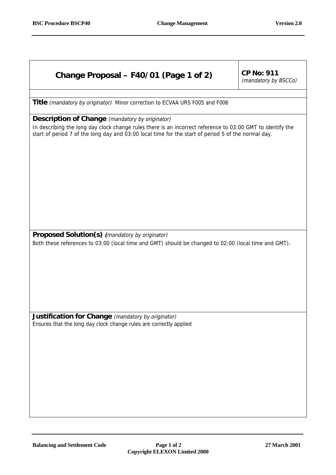| Change Proposal - F40/01 (Page 1 of 2)                                                                                                                                                                                                                                      | <b>CP No: 911</b><br>(mandatory by BSCCo) |
|-----------------------------------------------------------------------------------------------------------------------------------------------------------------------------------------------------------------------------------------------------------------------------|-------------------------------------------|
| <b>Title</b> (mandatory by originator) Minor correction to ECVAA URS F005 and F006                                                                                                                                                                                          |                                           |
| <b>Description of Change</b> (mandatory by originator)<br>In describing the long day clock change rules there is an incorrect reference to 03:00 GMT to identify the<br>start of period 7 of the long day and 03:00 local time for the start of period 5 of the normal day. |                                           |
|                                                                                                                                                                                                                                                                             |                                           |
| Proposed Solution(s) (mandatory by originator)<br>Both these references to 03:00 (local time and GMT) should be changed to 02:00 (local time and GMT).                                                                                                                      |                                           |
|                                                                                                                                                                                                                                                                             |                                           |
| Justification for Change (mandatory by originator)<br>Ensures that the long day clock change rules are correctly applied                                                                                                                                                    |                                           |
|                                                                                                                                                                                                                                                                             |                                           |
|                                                                                                                                                                                                                                                                             |                                           |